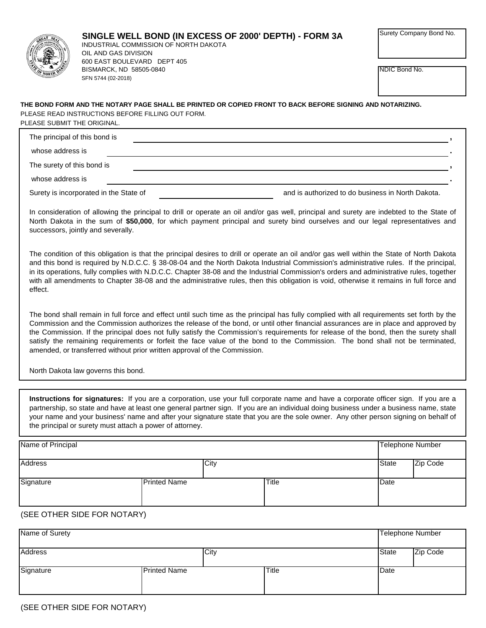

BISMARCK, ND 58505-0840

600 EAST BOULEVARD DEPT 405

OIL AND GAS DIVISION

SFN 5744 (02-2018)

## **SINGLE WELL BOND (IN EXCESS OF 2000' DEPTH) - FORM 3A** INDUSTRIAL COMMISSION OF NORTH DAKOTA

Surety Company Bond No.

NDIC Bond No.

PLEASE READ INSTRUCTIONS BEFORE FILLING OUT FORM. PLEASE SUBMIT THE ORIGINAL. **THE BOND FORM AND THE NOTARY PAGE SHALL BE PRINTED OR COPIED FRONT TO BACK BEFORE SIGNING AND NOTARIZING.**

| The principal of this bond is          |                                                   |
|----------------------------------------|---------------------------------------------------|
| whose address is                       |                                                   |
| The surety of this bond is             |                                                   |
| whose address is                       |                                                   |
| Surety is incorporated in the State of | and is authorized to do business in North Dakota. |

In consideration of allowing the principal to drill or operate an oil and/or gas well, principal and surety are indebted to the State of North Dakota in the sum of **\$50,000**, for which payment principal and surety bind ourselves and our legal representatives and successors, jointly and severally.

The condition of this obligation is that the principal desires to drill or operate an oil and/or gas well within the State of North Dakota and this bond is required by N.D.C.C. § 38-08-04 and the North Dakota Industrial Commission's administrative rules. If the principal, in its operations, fully complies with N.D.C.C. Chapter 38-08 and the Industrial Commission's orders and administrative rules, together with all amendments to Chapter 38-08 and the administrative rules, then this obligation is void, otherwise it remains in full force and effect.

The bond shall remain in full force and effect until such time as the principal has fully complied with all requirements set forth by the Commission and the Commission authorizes the release of the bond, or until other financial assurances are in place and approved by the Commission. If the principal does not fully satisfy the Commission's requirements for release of the bond, then the surety shall satisfy the remaining requirements or forfeit the face value of the bond to the Commission. The bond shall not be terminated, amended, or transferred without prior written approval of the Commission.

North Dakota law governs this bond.

**Instructions for signatures:** If you are a corporation, use your full corporate name and have a corporate officer sign. If you are a partnership, so state and have at least one general partner sign. If you are an individual doing business under a business name, state your name and your business' name and after your signature state that you are the sole owner. Any other person signing on behalf of the principal or surety must attach a power of attorney.

| Name of Principal |                     |      |              |              | Telephone Number |
|-------------------|---------------------|------|--------------|--------------|------------------|
| <b>Address</b>    |                     | City |              | <b>State</b> | Zip Code         |
| Signature         | <b>Printed Name</b> |      | <b>Title</b> | Date         |                  |

## (SEE OTHER SIDE FOR NOTARY)

| Name of Surety |                     |              | <b>Telephone Number</b> |          |
|----------------|---------------------|--------------|-------------------------|----------|
| <b>Address</b> | City                |              | <b>State</b>            | Zip Code |
| Signature      | <b>Printed Name</b> | <b>Title</b> | Date                    |          |